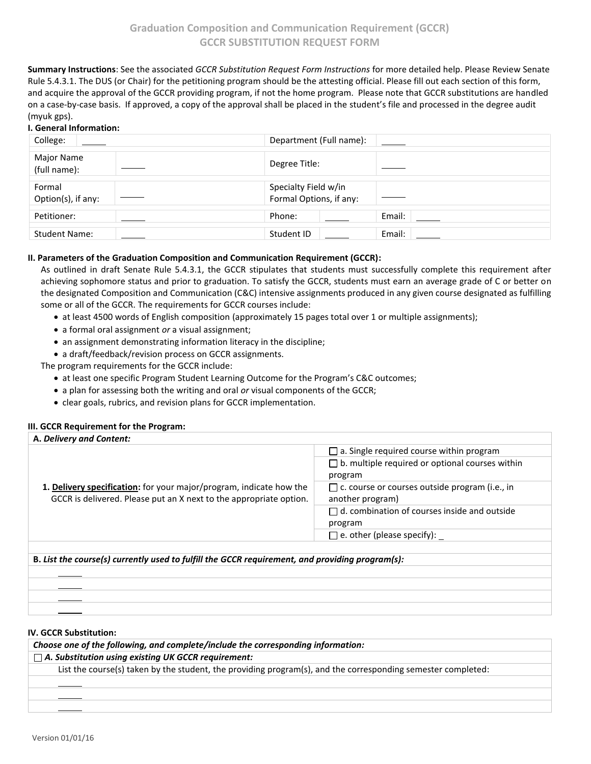**Summary Instructions**: See the associated *GCCR Substitution Request Form Instructions* for more detailed help. Please Review Senate Rule 5.4.3.1. The DUS (or Chair) for the petitioning program should be the attesting official. Please fill out each section of this form, and acquire the approval of the GCCR providing program, if not the home program. Please note that GCCR substitutions are handled on a case-by-case basis. If approved, a copy of the approval shall be placed in the student's file and processed in the degree audit (myuk gps).

### **I. General Information:**

| College:                     | Department (Full name):                         |        |
|------------------------------|-------------------------------------------------|--------|
| Major Name<br>(full name):   | Degree Title:                                   |        |
| Formal<br>Option(s), if any: | Specialty Field w/in<br>Formal Options, if any: |        |
| Petitioner:                  | Phone:                                          | Email: |
| <b>Student Name:</b>         | Student ID                                      | Email: |

# **II. Parameters of the Graduation Composition and Communication Requirement (GCCR):**

As outlined in draft Senate Rule 5.4.3.1, the GCCR stipulates that students must successfully complete this requirement after achieving sophomore status and prior to graduation. To satisfy the GCCR, students must earn an average grade of C or better on the designated Composition and Communication (C&C) intensive assignments produced in any given course designated as fulfilling some or all of the GCCR. The requirements for GCCR courses include:

- at least 4500 words of English composition (approximately 15 pages total over 1 or multiple assignments);
- a formal oral assignment *or* a visual assignment;
- an assignment demonstrating information literacy in the discipline;
- a draft/feedback/revision process on GCCR assignments.

The program requirements for the GCCR include:

- at least one specific Program Student Learning Outcome for the Program's C&C outcomes;
- a plan for assessing both the writing and oral *or* visual components of the GCCR;
- clear goals, rubrics, and revision plans for GCCR implementation.

### **III. GCCR Requirement for the Program:**

| A. Delivery and Content:                                                                        |                                                        |  |  |  |
|-------------------------------------------------------------------------------------------------|--------------------------------------------------------|--|--|--|
|                                                                                                 | $\Box$ a. Single required course within program        |  |  |  |
|                                                                                                 | $\Box$ b. multiple required or optional courses within |  |  |  |
|                                                                                                 | program                                                |  |  |  |
| 1. Delivery specification: for your major/program, indicate how the                             | $\Box$ c. course or courses outside program (i.e., in  |  |  |  |
| GCCR is delivered. Please put an X next to the appropriate option.                              | another program)                                       |  |  |  |
|                                                                                                 | $\Box$ d. combination of courses inside and outside    |  |  |  |
|                                                                                                 | program                                                |  |  |  |
|                                                                                                 | $\square$ e. other (please specify):                   |  |  |  |
|                                                                                                 |                                                        |  |  |  |
| B. List the course(s) currently used to fulfill the GCCR requirement, and providing program(s): |                                                        |  |  |  |
|                                                                                                 |                                                        |  |  |  |
|                                                                                                 |                                                        |  |  |  |
|                                                                                                 |                                                        |  |  |  |

#### **IV. GCCR Substitution:**

*Choose one of the following, and complete/include the corresponding information: A. Substitution using existing UK GCCR requirement:* List the course(s) taken by the student, the providing program(s), and the corresponding semester completed: